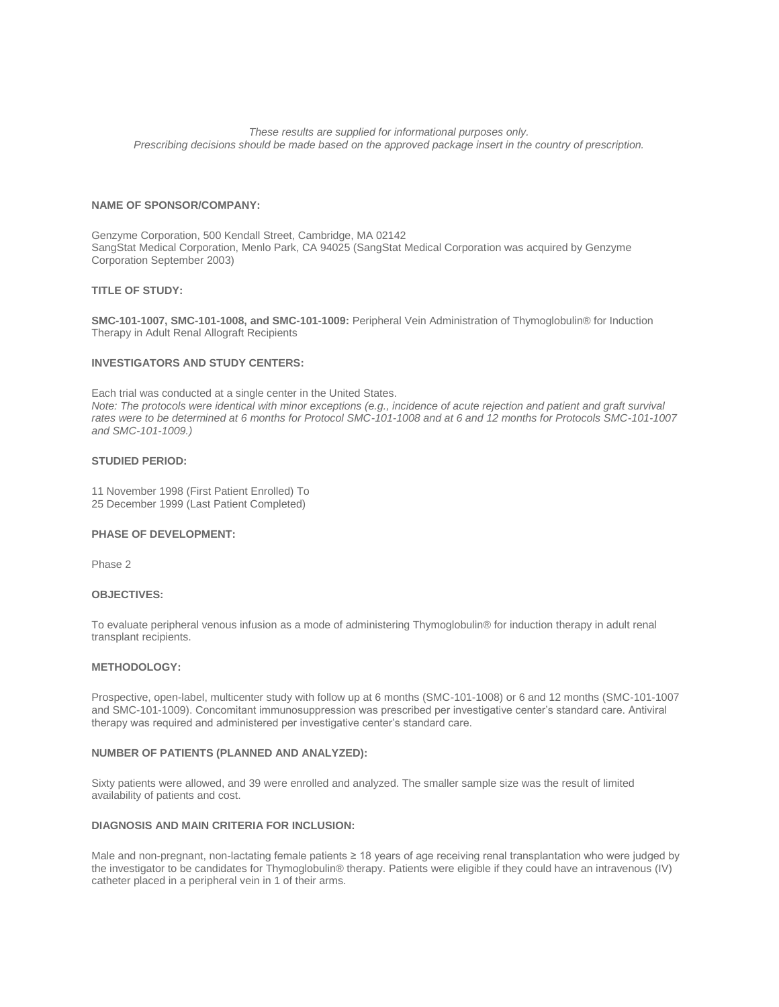*These results are supplied for informational purposes only. Prescribing decisions should be made based on the approved package insert in the country of prescription.*

## **NAME OF SPONSOR/COMPANY:**

Genzyme Corporation, 500 Kendall Street, Cambridge, MA 02142 SangStat Medical Corporation, Menlo Park, CA 94025 (SangStat Medical Corporation was acquired by Genzyme Corporation September 2003)

## **TITLE OF STUDY:**

**SMC-101-1007, SMC-101-1008, and SMC-101-1009:** Peripheral Vein Administration of Thymoglobulin® for Induction Therapy in Adult Renal Allograft Recipients

# **INVESTIGATORS AND STUDY CENTERS:**

Each trial was conducted at a single center in the United States. *Note: The protocols were identical with minor exceptions (e.g., incidence of acute rejection and patient and graft survival rates were to be determined at 6 months for Protocol SMC-101-1008 and at 6 and 12 months for Protocols SMC-101-1007 and SMC-101-1009.)*

# **STUDIED PERIOD:**

11 November 1998 (First Patient Enrolled) To 25 December 1999 (Last Patient Completed)

#### **PHASE OF DEVELOPMENT:**

Phase 2

## **OBJECTIVES:**

To evaluate peripheral venous infusion as a mode of administering Thymoglobulin® for induction therapy in adult renal transplant recipients.

## **METHODOLOGY:**

Prospective, open-label, multicenter study with follow up at 6 months (SMC-101-1008) or 6 and 12 months (SMC-101-1007 and SMC-101-1009). Concomitant immunosuppression was prescribed per investigative center's standard care. Antiviral therapy was required and administered per investigative center's standard care.

# **NUMBER OF PATIENTS (PLANNED AND ANALYZED):**

Sixty patients were allowed, and 39 were enrolled and analyzed. The smaller sample size was the result of limited availability of patients and cost.

## **DIAGNOSIS AND MAIN CRITERIA FOR INCLUSION:**

Male and non-pregnant, non-lactating female patients ≥ 18 years of age receiving renal transplantation who were judged by the investigator to be candidates for Thymoglobulin® therapy. Patients were eligible if they could have an intravenous (IV) catheter placed in a peripheral vein in 1 of their arms.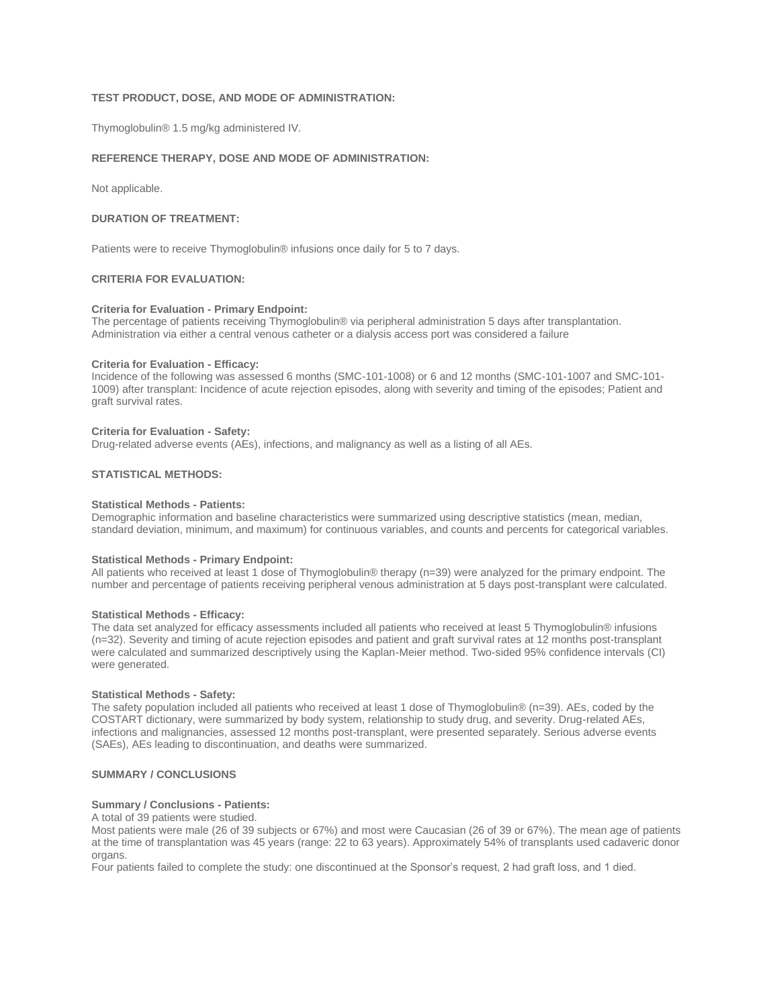# **TEST PRODUCT, DOSE, AND MODE OF ADMINISTRATION:**

Thymoglobulin® 1.5 mg/kg administered IV.

# **REFERENCE THERAPY, DOSE AND MODE OF ADMINISTRATION:**

Not applicable.

## **DURATION OF TREATMENT:**

Patients were to receive Thymoglobulin® infusions once daily for 5 to 7 days.

# **CRITERIA FOR EVALUATION:**

#### **Criteria for Evaluation - Primary Endpoint:**

The percentage of patients receiving Thymoglobulin® via peripheral administration 5 days after transplantation. Administration via either a central venous catheter or a dialysis access port was considered a failure

#### **Criteria for Evaluation - Efficacy:**

Incidence of the following was assessed 6 months (SMC-101-1008) or 6 and 12 months (SMC-101-1007 and SMC-101- 1009) after transplant: Incidence of acute rejection episodes, along with severity and timing of the episodes; Patient and graft survival rates.

#### **Criteria for Evaluation - Safety:**

Drug-related adverse events (AEs), infections, and malignancy as well as a listing of all AEs.

# **STATISTICAL METHODS:**

### **Statistical Methods - Patients:**

Demographic information and baseline characteristics were summarized using descriptive statistics (mean, median, standard deviation, minimum, and maximum) for continuous variables, and counts and percents for categorical variables.

## **Statistical Methods - Primary Endpoint:**

All patients who received at least 1 dose of Thymoglobulin® therapy (n=39) were analyzed for the primary endpoint. The number and percentage of patients receiving peripheral venous administration at 5 days post-transplant were calculated.

## **Statistical Methods - Efficacy:**

The data set analyzed for efficacy assessments included all patients who received at least 5 Thymoglobulin® infusions (n=32). Severity and timing of acute rejection episodes and patient and graft survival rates at 12 months post-transplant were calculated and summarized descriptively using the Kaplan-Meier method. Two-sided 95% confidence intervals (CI) were generated.

#### **Statistical Methods - Safety:**

The safety population included all patients who received at least 1 dose of Thymoglobulin® (n=39). AEs, coded by the COSTART dictionary, were summarized by body system, relationship to study drug, and severity. Drug-related AEs, infections and malignancies, assessed 12 months post-transplant, were presented separately. Serious adverse events (SAEs), AEs leading to discontinuation, and deaths were summarized.

# **SUMMARY / CONCLUSIONS**

### **Summary / Conclusions - Patients:**

A total of 39 patients were studied.

Most patients were male (26 of 39 subjects or 67%) and most were Caucasian (26 of 39 or 67%). The mean age of patients at the time of transplantation was 45 years (range: 22 to 63 years). Approximately 54% of transplants used cadaveric donor organs.

Four patients failed to complete the study: one discontinued at the Sponsor's request, 2 had graft loss, and 1 died.